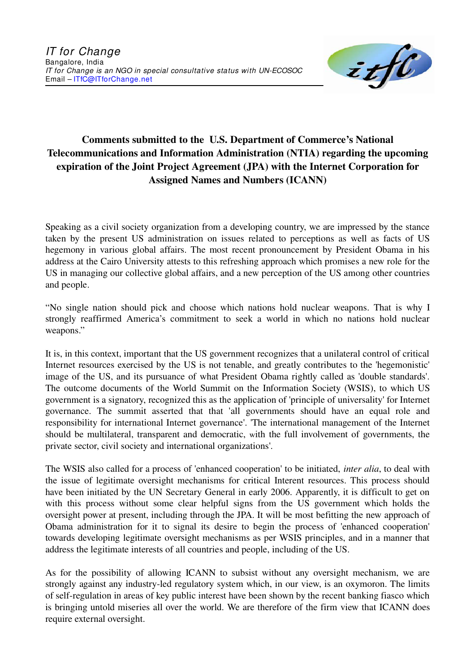

## **Comments submitted to the U.S. Department of Commerce's National Telecommunications and Information Administration (NTIA) regarding the upcoming expiration of the Joint Project Agreement (JPA) with the Internet Corporation for Assigned Names and Numbers (ICANN)**

Speaking as a civil society organization from a developing country, we are impressed by the stance taken by the present US administration on issues related to perceptions as well as facts of US hegemony in various global affairs. The most recent pronouncement by President Obama in his address at the Cairo University attests to this refreshing approach which promises a new role for the US in managing our collective global affairs, and a new perception of the US among other countries and people.

"No single nation should pick and choose which nations hold nuclear weapons. That is why I strongly reaffirmed America's commitment to seek a world in which no nations hold nuclear weapons."

It is, in this context, important that the US government recognizes that a unilateral control of critical Internet resources exercised by the US is not tenable, and greatly contributes to the 'hegemonistic' image of the US, and its pursuance of what President Obama rightly called as 'double standards'. The outcome documents of the World Summit on the Information Society (WSIS), to which US government is a signatory, recognized this as the application of 'principle of universality' for Internet governance. The summit asserted that that 'all governments should have an equal role and responsibility for international Internet governance'. 'The international management of the Internet should be multilateral, transparent and democratic, with the full involvement of governments, the private sector, civil society and international organizations'.

The WSIS also called for a process of 'enhanced cooperation' to be initiated, *inter alia*, to deal with the issue of legitimate oversight mechanisms for critical Interent resources. This process should have been initiated by the UN Secretary General in early 2006. Apparently, it is difficult to get on with this process without some clear helpful signs from the US government which holds the oversight power at present, including through the JPA. It will be most befitting the new approach of Obama administration for it to signal its desire to begin the process of 'enhanced cooperation' towards developing legitimate oversight mechanisms as per WSIS principles, and in a manner that address the legitimate interests of all countries and people, including of the US.

As for the possibility of allowing ICANN to subsist without any oversight mechanism, we are strongly against any industry-led regulatory system which, in our view, is an oxymoron. The limits of self-regulation in areas of key public interest have been shown by the recent banking fiasco which is bringing untold miseries all over the world. We are therefore of the firm view that ICANN does require external oversight.